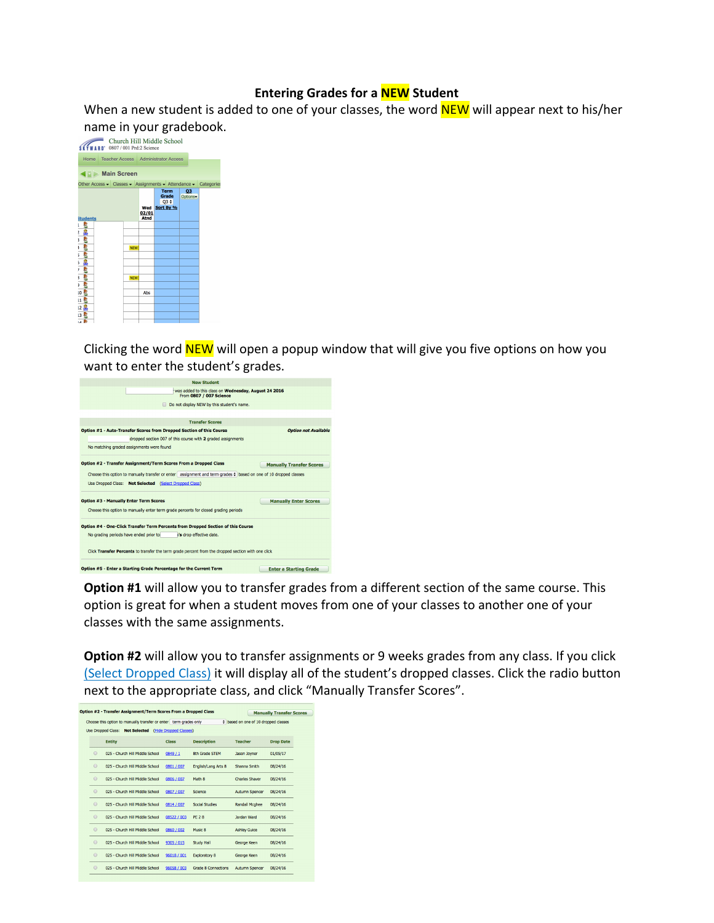## **Entering Grades for a NEW Student**

When a new student is added to one of your classes, the word  $NEW$  will appear next to his/her



Clicking the word **NEW** will open a popup window that will give you five options on how you want to enter the student's grades.



**Option #1** will allow you to transfer grades from a different section of the same course. This option is great for when a student moves from one of your classes to another one of your classes with the same assignments.

**Option #2** will allow you to transfer assignments or 9 weeks grades from any class. If you click (Select Dropped Class) it will display all of the student's dropped classes. Click the radio button next to the appropriate class, and click "Manually Transfer Scores".

| Option #2 - Transfer Assignment/Term Scores From a Dropped Class<br><b>Manually Transfer Scores</b> |         |                                                                   |                        |                            |                                           |                  |  |  |  |  |  |
|-----------------------------------------------------------------------------------------------------|---------|-------------------------------------------------------------------|------------------------|----------------------------|-------------------------------------------|------------------|--|--|--|--|--|
|                                                                                                     |         | Choose this option to manually transfer or enter term grades only |                        |                            | $\div$ based on one of 10 dropped classes |                  |  |  |  |  |  |
|                                                                                                     |         | <b>Not Selected</b><br>Use Dropped Class:                         | (Hide Dropped Classes) |                            |                                           |                  |  |  |  |  |  |
|                                                                                                     |         | <b>Entity</b>                                                     | Class                  | <b>Description</b>         | <b>Teacher</b>                            | <b>Drop Date</b> |  |  |  |  |  |
|                                                                                                     | $\odot$ | 025 - Church Hill Middle School                                   | 0849 / 1               | 8th Grade STEM             | Jason Jovner                              | 01/05/17         |  |  |  |  |  |
|                                                                                                     | $\odot$ | 025 - Church Hill Middle School                                   | 0801 / 007             | English/Lang Arts 8        | Shanna Smith                              | 08/24/16         |  |  |  |  |  |
|                                                                                                     | $\odot$ | 025 - Church Hill Middle School                                   | 0806 / 007             | Math 8                     | <b>Charles Shaver</b>                     | 08/24/16         |  |  |  |  |  |
|                                                                                                     | $\odot$ | 025 - Church Hill Middle School                                   | 0807 / 007             | Science                    | <b>Autumn Spencer</b>                     | 08/24/16         |  |  |  |  |  |
|                                                                                                     | $\odot$ | 025 - Church Hill Middle School                                   | 0814 / 007             | <b>Social Studies</b>      | Randall Mcghee                            | 08/24/16         |  |  |  |  |  |
|                                                                                                     | $\odot$ | 025 - Church Hill Middle School                                   | 08522 / 003            | <b>PE 28</b>               | Jordan Ward                               | 08/24/16         |  |  |  |  |  |
|                                                                                                     | $\odot$ | 025 - Church Hill Middle School                                   | 0860 / 002             | Music 8                    | <b>Ashley Guice</b>                       | 08/24/16         |  |  |  |  |  |
|                                                                                                     | $\odot$ | 025 - Church Hill Middle School                                   | 9305 / 015             | <b>Study Hall</b>          | George Keen                               | 08/24/16         |  |  |  |  |  |
|                                                                                                     | $\odot$ | 025 - Church Hill Middle School                                   | 96018 / 001            | <b>Exploratory 8</b>       | George Keen                               | 08/24/16         |  |  |  |  |  |
|                                                                                                     | $\odot$ | 025 - Church Hill Middle School                                   | 96058 / 003            | <b>Grade 8 Connections</b> | Autumn Spencer                            | 08/24/16         |  |  |  |  |  |
|                                                                                                     |         |                                                                   |                        |                            |                                           |                  |  |  |  |  |  |